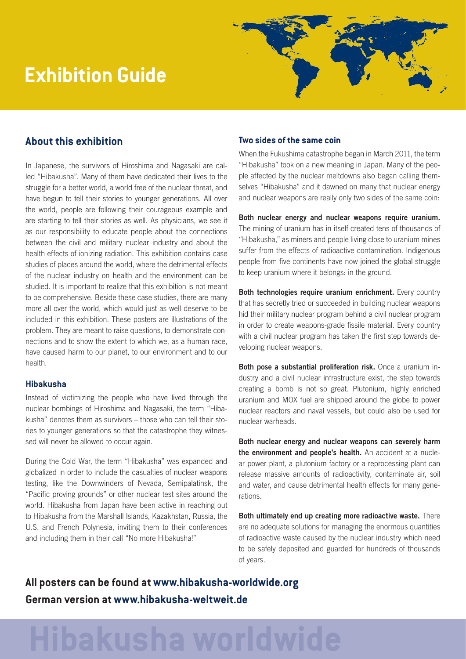# **Exhibition Guide**



## **About this exhibition**

In Japanese, the survivors of Hiroshima and Nagasaki are called "Hibakusha". Many of them have dedicated their lives to the struggle for a better world, a world free of the nuclear threat, and have begun to tell their stories to younger generations. All over the world, people are following their courageous example and are starting to tell their stories as well. As physicians, we see it as our responsibility to educate people about the connections between the civil and military nuclear industry and about the health effects of ionizing radiation. This exhibition contains case studies of places around the world, where the detrimental effects of the nuclear industry on health and the environment can be studied. It is important to realize that this exhibition is not meant to be comprehensive. Beside these case studies, there are many more all over the world, which would just as well deserve to be included in this exhibition. These posters are illustrations of the problem. They are meant to raise questions, to demonstrate connections and to show the extent to which we, as a human race, have caused harm to our planet, to our environment and to our health.

#### **Hibakusha**

Instead of victimizing the people who have lived through the nuclear bombings of Hiroshima and Nagasaki, the term "Hibakusha" denotes them as survivors – those who can tell their stories to younger generations so that the catastrophe they witnessed will never be allowed to occur again.

During the Cold War, the term "Hibakusha" was expanded and globalized in order to include the casualties of nuclear weapons testing, like the Downwinders of Nevada, Semipalatinsk, the "Pacific proving grounds" or other nuclear test sites around the world. Hibakusha from Japan have been active in reaching out to Hibakusha from the Marshall Islands, Kazakhstan, Russia, the U.S. and French Polynesia, inviting them to their conferences and including them in their call "No more Hibakusha!"

#### **Two sides of the same coin**

When the Fukushima catastrophe began in March 2011, the term "Hibakusha" took on a new meaning in Japan. Many of the people affected by the nuclear meltdowns also began calling themselves "Hibakusha" and it dawned on many that nuclear energy and nuclear weapons are really only two sides of the same coin:

Both nuclear energy and nuclear weapons require uranium. The mining of uranium has in itself created tens of thousands of "Hibakusha," as miners and people living close to uranium mines suffer from the effects of radioactive contamination. Indigenous people from five continents have now joined the global struggle to keep uranium where it belongs: in the ground.

Both technologies require uranium enrichment. Every country that has secretly tried or succeeded in building nuclear weapons hid their military nuclear program behind a civil nuclear program in order to create weapons-grade fissile material. Every country with a civil nuclear program has taken the first step towards developing nuclear weapons.

Both pose a substantial proliferation risk. Once a uranium industry and a civil nuclear infrastructure exist, the step towards creating a bomb is not so great. Plutonium, highly enriched uranium and MOX fuel are shipped around the globe to power nuclear reactors and naval vessels, but could also be used for nuclear warheads.

Both nuclear energy and nuclear weapons can severely harm the environment and people's health. An accident at a nuclear power plant, a plutonium factory or a reprocessing plant can release massive amounts of radioactivity, contaminate air, soil and water, and cause detrimental health effects for many generations.

Both ultimately end up creating more radioactive waste. There are no adequate solutions for managing the enormous quantities of radioactive waste caused by the nuclear industry which need to be safely deposited and guarded for hundreds of thousands of years.

**All posters can be found at [www.hibakusha-worldwide.org](http://www.hibakusha-worldwide.org) German version at [www.hibakusha-weltweit.de](http://www.hibakusha-weltweit.de)**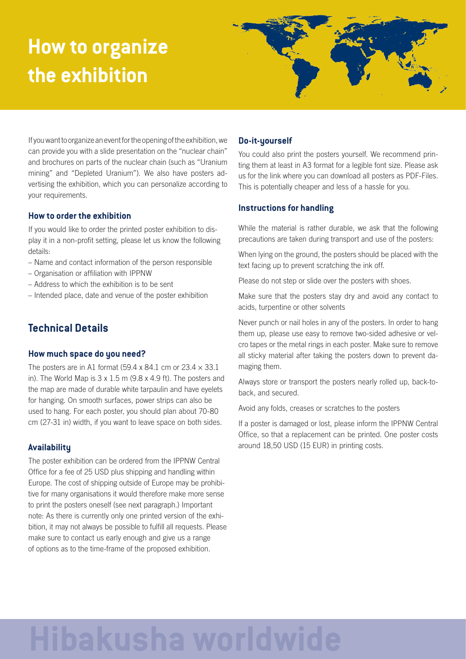# **How to organize the exhibition**



If you want to organize an event for the opening of the exhibition, we can provide you with a slide presentation on the "nuclear chain" and brochures on parts of the nuclear chain (such as "Uranium mining" and "Depleted Uranium"). We also have posters advertising the exhibition, which you can personalize according to your requirements.

#### **How to order the exhibition**

If you would like to order the printed poster exhibition to display it in a non-profit setting, please let us know the following details:

- Name and contact information of the person responsible
- Organisation or affiliation with IPPNW
- Address to which the exhibition is to be sent
- Intended place, date and venue of the poster exhibition

## **Technical Details**

#### **How much space do you need?**

The posters are in A1 format (59.4 x 84.1 cm or  $23.4 \times 33.1$ ) in). The World Map is 3 x 1.5 m (9.8 x 4.9 ft). The posters and the map are made of durable white tarpaulin and have eyelets for hanging. On smooth surfaces, power strips can also be used to hang. For each poster, you should plan about 70-80 cm (27-31 in) width, if you want to leave space on both sides.

#### **Availability**

The poster exhibition can be ordered from the IPPNW Central Office for a fee of 25 USD plus shipping and handling within Europe. The cost of shipping outside of Europe may be prohibitive for many organisations it would therefore make more sense to print the posters oneself (see next paragraph.) Important note: As there is currently only one printed version of the exhibition, it may not always be possible to fulfill all requests. Please make sure to contact us early enough and give us a range of options as to the time-frame of the proposed exhibition.

#### **Do-it-yourself**

You could also print the posters yourself. We recommend printing them at least in A3 format for a legible font size. Please ask us for the link where you can download all posters as PDF-Files. This is potentially cheaper and less of a hassle for you.

#### **Instructions for handling**

While the material is rather durable, we ask that the following precautions are taken during transport and use of the posters:

When lying on the ground, the posters should be placed with the text facing up to prevent scratching the ink off.

Please do not step or slide over the posters with shoes.

Make sure that the posters stay dry and avoid any contact to acids, turpentine or other solvents

Never punch or nail holes in any of the posters. In order to hang them up, please use easy to remove two-sided adhesive or velcro tapes or the metal rings in each poster. Make sure to remove all sticky material after taking the posters down to prevent damaging them.

Always store or transport the posters nearly rolled up, back-toback, and secured.

Avoid any folds, creases or scratches to the posters

If a poster is damaged or lost, please inform the IPPNW Central Office, so that a replacement can be printed. One poster costs around 18,50 USD (15 EUR) in printing costs.